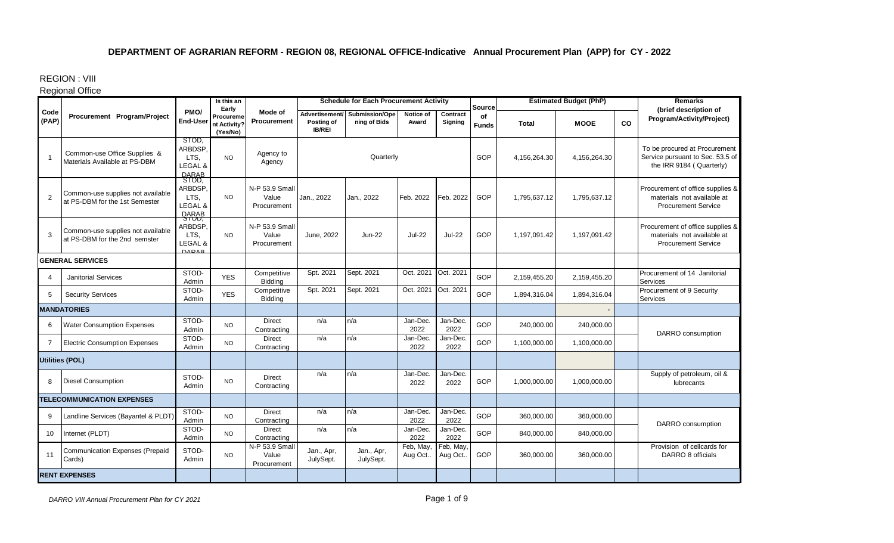REGION : VIII

## Regional Office

|                        |                                                                     |                                                     | Is this an<br>Early                   |                                        |                             | <b>Schedule for Each Procurement Activity</b> |                      |                      | Source             |              | <b>Estimated Budget (PhP)</b> |    | <b>Remarks</b>                                                                                |
|------------------------|---------------------------------------------------------------------|-----------------------------------------------------|---------------------------------------|----------------------------------------|-----------------------------|-----------------------------------------------|----------------------|----------------------|--------------------|--------------|-------------------------------|----|-----------------------------------------------------------------------------------------------|
| Code<br>(PAP)          | Procurement Program/Project                                         | PMO/<br><b>End-User</b>                             | Procureme<br>nt Activity?<br>(Yes/No) | Mode of<br>Procurement                 | Posting of<br><b>IB/REI</b> | Advertisement/ Submission/Ope<br>ning of Bids | Notice of<br>Award   | Contract<br>Signing  | of<br><b>Funds</b> | <b>Total</b> | <b>MOOE</b>                   | CO | (brief description of<br>Program/Activity/Project)                                            |
| $\overline{1}$         | Common-use Office Supplies &<br>Materials Available at PS-DBM       | STOD.<br>ARBDSP.<br>LTS.<br>LEGAL &<br><b>DARAB</b> | <b>NO</b>                             | Agency to<br>Agency                    |                             | Quarterly                                     |                      |                      | GOP                | 4,156,264.30 | 4,156,264.30                  |    | To be procured at Procurement<br>Service pursuant to Sec. 53.5 of<br>the IRR 9184 (Quarterly) |
| 2                      | Common-use supplies not available<br>at PS-DBM for the 1st Semester | STOD.<br>ARBDSP.<br>LTS.<br>LEGAL &<br><b>BABAB</b> | <b>NO</b>                             | N-P 53.9 Small<br>Value<br>Procurement | Jan., 2022                  | Jan., 2022                                    | Feb. 2022            | Feb. 2022            | GOP                | 1,795,637.12 | 1,795,637.12                  |    | Procurement of office supplies &<br>materials not available at<br><b>Procurement Service</b>  |
| 3                      | Common-use supplies not available<br>at PS-DBM for the 2nd semster  | ARBDSP.<br>LTS.<br>LEGAL &<br><b>DAPAR</b>          | <b>NO</b>                             | N-P 53.9 Small<br>Value<br>Procurement | June, 2022                  | $Jun-22$                                      | <b>Jul-22</b>        | <b>Jul-22</b>        | GOP                | 1,197,091.42 | 1,197,091.42                  |    | Procurement of office supplies &<br>materials not available at<br><b>Procurement Service</b>  |
|                        | <b>GENERAL SERVICES</b>                                             |                                                     |                                       |                                        |                             |                                               |                      |                      |                    |              |                               |    |                                                                                               |
| 4                      | <b>Janitorial Services</b>                                          | STOD-<br>Admin                                      | <b>YES</b>                            | Competitive<br>Bidding                 | Spt. 2021                   | Sept. 2021                                    | Oct. 2021            | Oct. 2021            | GOP                | 2,159,455.20 | 2,159,455.20                  |    | Procurement of 14 Janitorial<br>Services                                                      |
| 5                      | <b>Security Services</b>                                            | STOD-<br>Admin                                      | <b>YES</b>                            | Competitive<br>Bidding                 | Spt. 2021                   | Sept. 2021                                    | Oct. 2021            | Oct. 2021            | GOP                | 1,894,316.04 | 1,894,316.04                  |    | Procurement of 9 Security<br>Services                                                         |
|                        | <b>MANDATORIES</b>                                                  |                                                     |                                       |                                        |                             |                                               |                      |                      |                    |              |                               |    |                                                                                               |
| 6                      | <b>Water Consumption Expenses</b>                                   | STOD-<br>Admin                                      | <b>NO</b>                             | <b>Direct</b><br>Contracting           | n/a                         | n/a                                           | Jan-Dec.<br>2022     | Jan-Dec.<br>2022     | GOP                | 240,000.00   | 240,000.00                    |    | DARRO consumption                                                                             |
| $\overline{7}$         | <b>Electric Consumption Expenses</b>                                | STOD-<br>Admin                                      | <b>NO</b>                             | Direct<br>Contracting                  | n/a                         | n/a                                           | Jan-Dec.<br>2022     | Jan-Dec.<br>2022     | GOP                | 1,100,000.00 | 1,100,000.00                  |    |                                                                                               |
| <b>Utilities (POL)</b> |                                                                     |                                                     |                                       |                                        |                             |                                               |                      |                      |                    |              |                               |    |                                                                                               |
| 8                      | <b>Diesel Consumption</b>                                           | STOD-<br>Admin                                      | <b>NO</b>                             | Direct<br>Contracting                  | n/a                         | n/a                                           | Jan-Dec.<br>2022     | Jan-Dec.<br>2022     | <b>GOP</b>         | 1,000,000.00 | 1,000,000.00                  |    | Supply of petroleum, oil &<br>lubrecants                                                      |
|                        | <b>TELECOMMUNICATION EXPENSES</b>                                   |                                                     |                                       |                                        |                             |                                               |                      |                      |                    |              |                               |    |                                                                                               |
| 9                      | Landline Services (Bayantel & PLDT)                                 | STOD-<br>Admin                                      | <b>NO</b>                             | <b>Direct</b><br>Contracting           | n/a                         | n/a                                           | Jan-Dec.<br>2022     | Jan-Dec.<br>2022     | GOP                | 360,000.00   | 360,000.00                    |    | DARRO consumption                                                                             |
| 10                     | Internet (PLDT)                                                     | STOD-<br>Admin                                      | <b>NO</b>                             | Direct<br>Contracting                  | n/a                         | n/a                                           | Jan-Dec.<br>2022     | Jan-Dec.<br>2022     | GOP                | 840,000.00   | 840,000.00                    |    |                                                                                               |
| 11                     | <b>Communication Expenses (Prepaid</b><br>Cards)                    | STOD-<br>Admin                                      | <b>NO</b>                             | N-P 53.9 Small<br>Value<br>Procurement | Jan., Apr.<br>JulySept.     | Jan., Apr,<br>JulySept.                       | Feb, May,<br>Aug Oct | Feb, May,<br>Aug Oct | <b>GOP</b>         | 360,000.00   | 360,000.00                    |    | Provision of cellcards for<br>DARRO 8 officials                                               |
|                        | <b>RENT EXPENSES</b>                                                |                                                     |                                       |                                        |                             |                                               |                      |                      |                    |              |                               |    |                                                                                               |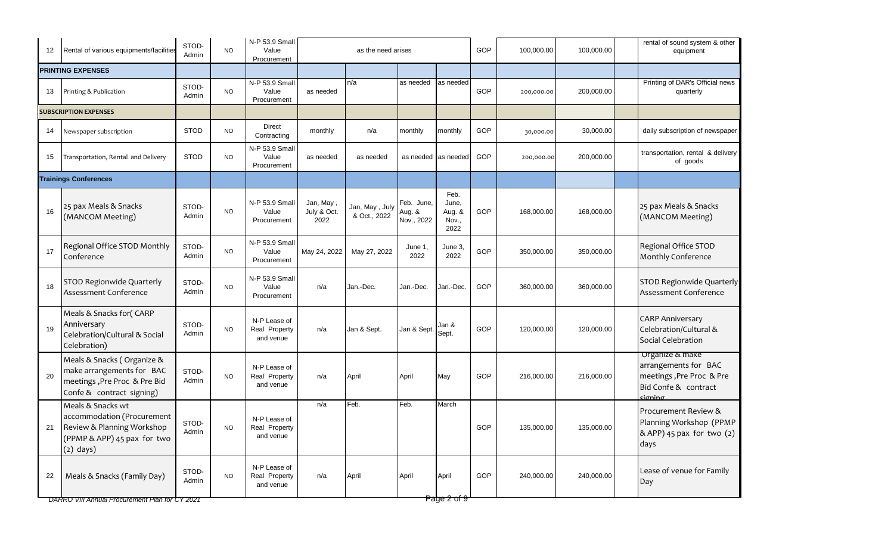| $12 \overline{ }$ | Rental of various equipments/facilities                                                                                     | STOD-<br>Admin | <b>NO</b> | N-P 53.9 Small<br>Value<br>Procurement     |                                  | as the need arises             |                                    |                                          | GOP        | 100,000.00 | 100,000.00 | rental of sound system & other<br>equipment                                                            |
|-------------------|-----------------------------------------------------------------------------------------------------------------------------|----------------|-----------|--------------------------------------------|----------------------------------|--------------------------------|------------------------------------|------------------------------------------|------------|------------|------------|--------------------------------------------------------------------------------------------------------|
|                   | <b>PRINTING EXPENSES</b>                                                                                                    |                |           |                                            |                                  |                                |                                    |                                          |            |            |            |                                                                                                        |
| 13                | Printing & Publication                                                                                                      | STOD-<br>Admin | <b>NO</b> | N-P 53.9 Small<br>Value<br>Procurement     | as needed                        | n/a                            | as needed                          | as needed                                | <b>GOP</b> | 200,000.00 | 200,000.00 | Printing of DAR's Official news<br>quarterly                                                           |
|                   | <b>SUBSCRIPTION EXPENSES</b>                                                                                                |                |           |                                            |                                  |                                |                                    |                                          |            |            |            |                                                                                                        |
| 14                | Newspaper subscription                                                                                                      | <b>STOD</b>    | <b>NO</b> | Direct<br>Contracting                      | monthly                          | n/a                            | monthly                            | monthly                                  | <b>GOP</b> | 30,000.00  | 30,000.00  | daily subscription of newspaper                                                                        |
| 15                | Transportation, Rental and Delivery                                                                                         | <b>STOD</b>    | <b>NO</b> | N-P 53.9 Small<br>Value<br>Procurement     | as needed                        | as needed                      | as needed                          | as needed                                | GOP        | 200,000.00 | 200,000.00 | transportation, rental & delivery<br>of goods                                                          |
|                   | <b>Trainings Conferences</b>                                                                                                |                |           |                                            |                                  |                                |                                    |                                          |            |            |            |                                                                                                        |
| 16                | 25 pax Meals & Snacks<br>(MANCOM Meeting)                                                                                   | STOD-<br>Admin | <b>NO</b> | N-P 53.9 Small<br>Value<br>Procurement     | Jan, May,<br>July & Oct.<br>2022 | Jan, May, July<br>& Oct., 2022 | Feb. June,<br>Aug. &<br>Nov., 2022 | Feb.<br>June,<br>Aug. &<br>Nov.,<br>2022 | GOP        | 168,000.00 | 168,000.00 | 25 pax Meals & Snacks<br>(MANCOM Meeting)                                                              |
| 17                | Regional Office STOD Monthly<br>Conference                                                                                  | STOD-<br>Admin | <b>NO</b> | N-P 53.9 Small<br>Value<br>Procurement     | May 24, 2022                     | May 27, 2022                   | June 1,<br>2022                    | June 3,<br>2022                          | GOP        | 350,000.00 | 350,000.00 | Regional Office STOD<br>Monthly Conference                                                             |
| 18                | STOD Regionwide Quarterly<br>Assessment Conference                                                                          | STOD-<br>Admin | NO.       | N-P 53.9 Small<br>Value<br>Procurement     | n/a                              | Jan.-Dec.                      | Jan.-Dec.                          | Jan.-Dec.                                | GOP        | 360,000.00 | 360,000.00 | STOD Regionwide Quarterly<br>Assessment Conference                                                     |
| 19                | Meals & Snacks for(CARP<br>Anniversary<br>Celebration/Cultural & Social<br>Celebration)                                     | STOD-<br>Admin | NO.       | N-P Lease of<br>Real Property<br>and venue | n/a                              | Jan & Sept.                    | Jan & Sept                         | Jan &<br>Sept.                           | GOP        | 120,000.00 | 120,000.00 | <b>CARP Anniversary</b><br>Celebration/Cultural &<br>Social Celebration                                |
| 20                | Meals & Snacks (Organize &<br>make arrangements for BAC<br>meetings, Pre Proc & Pre Bid<br>Confe & contract signing)        | STOD-<br>Admin | <b>NO</b> | N-P Lease of<br>Real Property<br>and venue | n/a                              | April                          | April                              | May                                      | GOP        | 216,000.00 | 216,000.00 | Organize & make<br>arrangements for BAC<br>meetings, Pre Proc & Pre<br>Bid Confe & contract<br>sionino |
| 21                | Meals & Snacks wt<br>accommodation (Procurement<br>Review & Planning Workshop<br>(PPMP & APP) 45 pax for two<br>$(2)$ days) | STOD-<br>Admin | <b>NO</b> | N-P Lease of<br>Real Property<br>and venue | n/a                              | Feb.                           | Feb.                               | March                                    | GOP        | 135,000.00 | 135,000.00 | Procurement Review &<br>Planning Workshop (PPMP<br>& APP) 45 pax for two (2)<br>days                   |
| 22                | Meals & Snacks (Family Day)                                                                                                 | STOD-<br>Admin | <b>NO</b> | N-P Lease of<br>Real Property<br>and venue | n/a                              | April                          | April                              | April                                    | GOP        | 240,000.00 | 240,000.00 | Lease of venue for Family<br>Day                                                                       |

*DARRO VIII Annual Procurement Plan for CY 2021* Page 2 of 9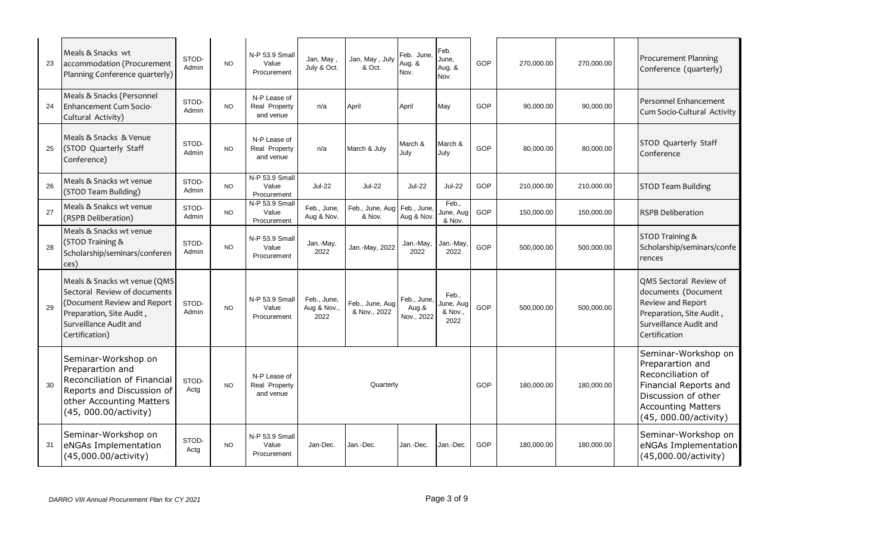| 23 | Meals & Snacks wt<br>accommodation (Procurement<br>Planning Conference quarterly)                                                                                  | STOD-<br>Admin | <b>NO</b> | N-P 53.9 Small<br>Value<br>Procurement     | Jan, May,<br>July & Oct.           | Jan, May, July<br>& Oct.        | Feb. June,<br>Aug. &<br>Nov.       | Feb.<br>June,<br>Aug. &<br>Nov.       | GOP | 270,000.00 | 270,000.00 | Procurement Planning<br>Conference (quarterly)                                                                                                                     |
|----|--------------------------------------------------------------------------------------------------------------------------------------------------------------------|----------------|-----------|--------------------------------------------|------------------------------------|---------------------------------|------------------------------------|---------------------------------------|-----|------------|------------|--------------------------------------------------------------------------------------------------------------------------------------------------------------------|
| 24 | Meals & Snacks (Personnel<br><b>Enhancement Cum Socio-</b><br>Cultural Activity)                                                                                   | STOD-<br>Admin | <b>NO</b> | N-P Lease of<br>Real Property<br>and venue | n/a                                | April                           | April                              | May                                   | GOP | 90,000.00  | 90,000.00  | Personnel Enhancement<br>Cum Socio-Cultural Activity                                                                                                               |
| 25 | Meals & Snacks & Venue<br>(STOD Quarterly Staff<br>Conference)                                                                                                     | STOD-<br>Admin | <b>NO</b> | N-P Lease of<br>Real Property<br>and venue | n/a                                | March & July                    | March &<br>July                    | March &<br>July                       | GOP | 80,000.00  | 80,000.00  | STOD Quarterly Staff<br>Conference                                                                                                                                 |
| 26 | Meals & Snacks wt venue<br>(STOD Team Building)                                                                                                                    | STOD-<br>Admin | <b>NO</b> | N-P 53.9 Small<br>Value<br>Procurement     | <b>Jul-22</b>                      | <b>Jul-22</b>                   | <b>Jul-22</b>                      | <b>Jul-22</b>                         | GOP | 210,000.00 | 210,000.00 | <b>STOD Team Building</b>                                                                                                                                          |
| 27 | Meals & Snakcs wt venue<br>(RSPB Deliberation)                                                                                                                     | STOD-<br>Admin | <b>NO</b> | N-P 53.9 Smal<br>Value<br>Procurement      | Feb., June,<br>Aug & Nov.          | Feb., June, Aug<br>& Nov.       | Feb., June<br>Aug & Nov            | Feb.,<br>June, Aug<br>& Nov.          | GOP | 150,000.00 | 150,000.00 | <b>RSPB Deliberation</b>                                                                                                                                           |
| 28 | Meals & Snacks wt venue<br>(STOD Training &<br>Scholarship/seminars/conferen<br>ces)                                                                               | STOD-<br>Admin | <b>NO</b> | N-P 53.9 Small<br>Value<br>Procurement     | Jan.-May,<br>2022                  | Jan.-May, 2022                  | Jan.-May,<br>2022                  | Jan.-May,<br>2022                     | GOP | 500,000.00 | 500,000.00 | STOD Training &<br>Scholarship/seminars/confe<br>rences                                                                                                            |
| 29 | Meals & Snacks wt venue (QMS<br>Sectoral Review of documents<br>Document Review and Report<br>Preparation, Site Audit,<br>Surveillance Audit and<br>Certification) | STOD-<br>Admin | <b>NO</b> | N-P 53.9 Small<br>Value<br>Procurement     | Feb., June,<br>Aug & Nov.,<br>2022 | Feb., June, Aug<br>& Nov., 2022 | Feb., June,<br>Aug &<br>Nov., 2022 | Feb.,<br>June, Aug<br>& Nov.,<br>2022 | GOP | 500,000.00 | 500,000.00 | QMS Sectoral Review of<br>documents (Document<br>Review and Report<br>Preparation, Site Audit,<br>Surveillance Audit and<br>Certification                          |
| 30 | Seminar-Workshop on<br>Preparartion and<br>Reconciliation of Financial<br>Reports and Discussion of<br>other Accounting Matters<br>(45, 000.00/activity)           | STOD-<br>Actg  | <b>NO</b> | N-P Lease of<br>Real Property<br>and venue | Quarterly                          |                                 |                                    |                                       |     | 180,000.00 | 180,000.00 | Seminar-Workshop on<br>Preparartion and<br>Reconciliation of<br>Financial Reports and<br>Discussion of other<br><b>Accounting Matters</b><br>(45, 000.00/activity) |
| 31 | Seminar-Workshop on<br>eNGAs Implementation<br>(45,000.00/activity)                                                                                                | STOD-<br>Actg  | <b>NO</b> | N-P 53.9 Small<br>Value<br>Procurement     | Jan-Dec.                           | Jan.-Dec.                       | Jan.-Dec.                          | Jan.-Dec.                             | GOP | 180,000.00 | 180,000.00 | Seminar-Workshop on<br>eNGAs Implementation<br>(45,000.00/activity)                                                                                                |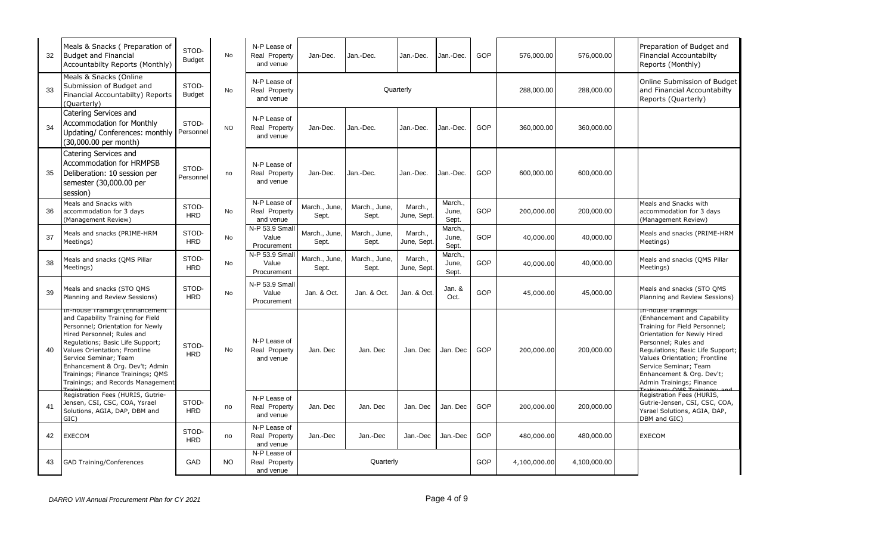| 32 | Meals & Snacks (Preparation of<br><b>Budget and Financial</b><br>Accountabilty Reports (Monthly)                                                                                                                                                                                                                                                  | STOD-<br><b>Budget</b> | <b>No</b> | N-P Lease of<br>Real Property<br>and venue | Jan-Dec.               | Jan.-Dec.              | Jan.-Dec.             | Jan.-Dec.                 | GOP | 576,000.00   | 576,000.00   | Preparation of Budget and<br><b>Financial Accountabilty</b><br>Reports (Monthly)                                                                                                                                                                                                                 |
|----|---------------------------------------------------------------------------------------------------------------------------------------------------------------------------------------------------------------------------------------------------------------------------------------------------------------------------------------------------|------------------------|-----------|--------------------------------------------|------------------------|------------------------|-----------------------|---------------------------|-----|--------------|--------------|--------------------------------------------------------------------------------------------------------------------------------------------------------------------------------------------------------------------------------------------------------------------------------------------------|
| 33 | Meals & Snacks (Online<br>Submission of Budget and<br>Financial Accountabilty) Reports<br>(Ouarterly)                                                                                                                                                                                                                                             | STOD-<br><b>Budget</b> | No        | N-P Lease of<br>Real Property<br>and venue |                        | Quarterly              |                       |                           |     | 288,000.00   | 288,000.00   | Online Submission of Budget<br>and Financial Accountabilty<br>Reports (Quarterly)                                                                                                                                                                                                                |
| 34 | Catering Services and<br>Accommodation for Monthly<br>Updating/ Conferences: monthly<br>(30,000.00 per month)                                                                                                                                                                                                                                     | STOD-<br>Personnel     | <b>NO</b> | N-P Lease of<br>Real Property<br>and venue | Jan-Dec.               | Jan.-Dec.              | Jan.-Dec.             | Jan.-Dec.                 | GOP | 360,000.00   | 360,000.00   |                                                                                                                                                                                                                                                                                                  |
| 35 | Catering Services and<br><b>Accommodation for HRMPSB</b><br>Deliberation: 10 session per<br>semester (30,000.00 per<br>session)                                                                                                                                                                                                                   | STOD-<br>Personnel     | no        | N-P Lease of<br>Real Property<br>and venue | Jan-Dec.               | Jan.-Dec.              | Jan.-Dec.             | Jan.-Dec.                 | GOP | 600,000.00   | 600,000.00   |                                                                                                                                                                                                                                                                                                  |
| 36 | Meals and Snacks with<br>accommodation for 3 days<br>(Management Review)                                                                                                                                                                                                                                                                          | STOD-<br><b>HRD</b>    | <b>No</b> | N-P Lease of<br>Real Property<br>and venue | March., June,<br>Sept. | March., June,<br>Sept. | March<br>June, Sept   | March.,<br>June,<br>Sept. | GOP | 200,000.00   | 200,000.00   | Meals and Snacks with<br>accommodation for 3 days<br>(Management Review)                                                                                                                                                                                                                         |
| 37 | Meals and snacks (PRIME-HRM<br>Meetings)                                                                                                                                                                                                                                                                                                          | STOD-<br><b>HRD</b>    | No        | N-P 53.9 Small<br>Value<br>Procurement     | March., June,<br>Sept. | March., June,<br>Sept. | March.,<br>June, Sept | March.,<br>June,<br>Sept. | GOP | 40,000.00    | 40,000.00    | Meals and snacks (PRIME-HRM<br>Meetings)                                                                                                                                                                                                                                                         |
| 38 | Meals and snacks (QMS Pillar<br>Meetings)                                                                                                                                                                                                                                                                                                         | STOD-<br><b>HRD</b>    | No        | N-P 53.9 Small<br>Value<br>Procurement     | March., June,<br>Sept. | March., June,<br>Sept. | March<br>June, Sept   | March.,<br>June,<br>Sept. | GOP | 40,000.00    | 40,000.00    | Meals and snacks (QMS Pillar<br>Meetings)                                                                                                                                                                                                                                                        |
| 39 | Meals and snacks (STO QMS<br>Planning and Review Sessions)                                                                                                                                                                                                                                                                                        | STOD-<br><b>HRD</b>    | No        | N-P 53.9 Small<br>Value<br>Procurement     | Jan. & Oct.            | Jan. & Oct.            | Jan. & Oct.           | Jan. &<br>Oct.            | GOP | 45,000.00    | 45,000.00    | Meals and snacks (STO QMS<br>Planning and Review Sessions)                                                                                                                                                                                                                                       |
| 40 | in-nouse trainings (Ennancement<br>and Capability Training for Field<br>Personnel; Orientation for Newly<br>Hired Personnel; Rules and<br>Regulations; Basic Life Support;<br>Values Orientation; Frontline<br>Service Seminar; Team<br>Enhancement & Org. Dev't; Admin<br>Trainings; Finance Trainings; QMS<br>Trainings; and Records Management | STOD-<br><b>HRD</b>    | <b>No</b> | N-P Lease of<br>Real Property<br>and venue | Jan. Dec               | Jan. Dec               | Jan. Dec              | Jan. Dec                  | GOP | 200,000.00   | 200,000.00   | In-nouse trainings<br>(Enhancement and Capability<br>Training for Field Personnel;<br>Orientation for Newly Hired<br>Personnel; Rules and<br>Regulations; Basic Life Support;<br>Values Orientation; Frontline<br>Service Seminar; Team<br>Enhancement & Org. Dev't;<br>Admin Trainings; Finance |
| 41 | Registration Fees (HURIS, Gutrie-<br>Jensen, CSI, CSC, COA, Ysrael<br>Solutions, AGIA, DAP, DBM and<br>GIC)                                                                                                                                                                                                                                       | STOD-<br><b>HRD</b>    | no        | N-P Lease of<br>Real Property<br>and venue | Jan. Dec               | Jan. Dec               | Jan. Dec              | Jan. Dec                  | GOP | 200,000.00   | 200,000.00   | Registration Fees (HURIS,<br>Gutrie-Jensen, CSI, CSC, COA,<br>Ysrael Solutions, AGIA, DAP,<br>DBM and GIC)                                                                                                                                                                                       |
| 42 | <b>EXECOM</b>                                                                                                                                                                                                                                                                                                                                     | STOD-<br><b>HRD</b>    | no        | N-P Lease of<br>Real Property<br>and venue | Jan.-Dec               | Jan.-Dec               | Jan.-Dec              | Jan.-Dec                  | GOP | 480,000.00   | 480,000.00   | <b>EXECOM</b>                                                                                                                                                                                                                                                                                    |
| 43 | <b>GAD Training/Conferences</b>                                                                                                                                                                                                                                                                                                                   | GAD                    | NO.       | N-P Lease of<br>Real Property<br>and venue | GOP<br>Quarterly       |                        |                       |                           |     | 4,100,000.00 | 4,100,000.00 |                                                                                                                                                                                                                                                                                                  |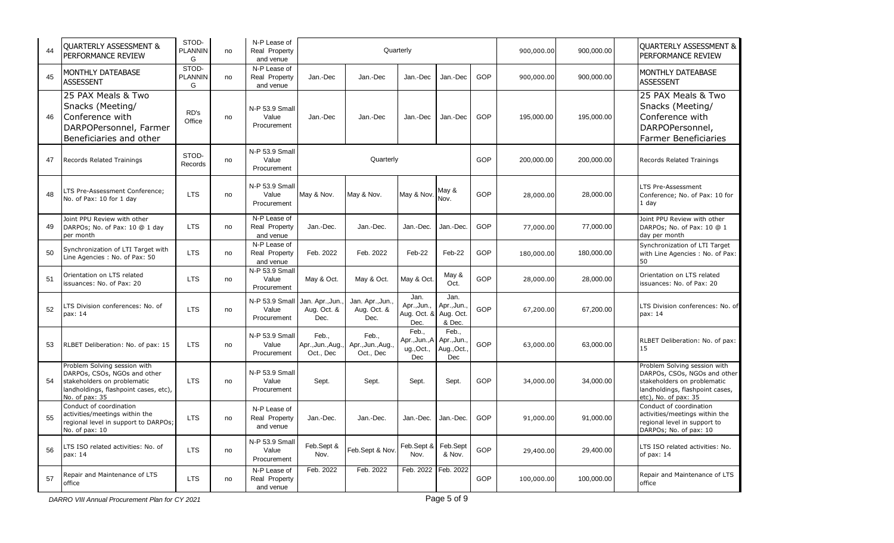| 44 | <b>QUARTERLY ASSESSMENT &amp;</b><br>PERFORMANCE REVIEW                                                                                                | STOD-<br><b>PLANNIN</b><br>G | no | N-P Lease of<br>Real Property<br>and venue | Quarterly                              |                                         |                                            |                                          |     | 900,000.00 | 900,000.00 | <b>QUARTERLY ASSESSMENT &amp;</b><br>PERFORMANCE REVIEW                                                                                                |
|----|--------------------------------------------------------------------------------------------------------------------------------------------------------|------------------------------|----|--------------------------------------------|----------------------------------------|-----------------------------------------|--------------------------------------------|------------------------------------------|-----|------------|------------|--------------------------------------------------------------------------------------------------------------------------------------------------------|
| 45 | MONTHLY DATEABASE<br><b>ASSESSENT</b>                                                                                                                  | STOD-<br><b>PLANNIN</b><br>G | no | N-P Lease of<br>Real Property<br>and venue | Jan.-Dec                               | Jan.-Dec                                | Jan.-Dec                                   | Jan.-Dec                                 | GOP | 900,000.00 | 900,000.00 | MONTHLY DATEABASE<br><b>ASSESSENT</b>                                                                                                                  |
| 46 | 25 PAX Meals & Two<br>Snacks (Meeting/<br>Conference with<br>DARPOPersonnel, Farmer<br>Beneficiaries and other                                         | RD's<br>Office               | no | N-P 53.9 Small<br>Value<br>Procurement     | Jan.-Dec                               | Jan.-Dec                                | Jan.-Dec                                   | Jan.-Dec                                 | GOP | 195,000.00 | 195,000.00 | 25 PAX Meals & Two<br>Snacks (Meeting/<br>Conference with<br>DARPOPersonnel,<br>Farmer Beneficiaries                                                   |
| 47 | Records Related Trainings                                                                                                                              | STOD-<br>Records             | no | N-P 53.9 Small<br>Value<br>Procurement     | Quarterly                              |                                         |                                            |                                          |     | 200,000.00 | 200,000.00 | Records Related Trainings                                                                                                                              |
| 48 | LTS Pre-Assessment Conference;<br>No. of Pax: 10 for 1 day                                                                                             | <b>LTS</b>                   | no | N-P 53.9 Small<br>Value<br>Procurement     | May & Nov.                             | May & Nov.                              | May & Nov                                  | May &<br>Nov.                            | GOP | 28,000.00  | 28,000.00  | LTS Pre-Assessment<br>Conference; No. of Pax: 10 for<br>1 day                                                                                          |
| 49 | Joint PPU Review with other<br>DARPOs; No. of Pax: 10 @ 1 day<br>per month                                                                             | <b>LTS</b>                   | no | N-P Lease of<br>Real Property<br>and venue | Jan.-Dec.                              | Jan.-Dec.                               | Jan.-Dec.                                  | Jan.-Dec.                                | GOP | 77,000.00  | 77,000.00  | Joint PPU Review with other<br>DARPOs; No. of Pax: 10 @ 1<br>day per month                                                                             |
| 50 | Synchronization of LTI Target with<br>Line Agencies: No. of Pax: 50                                                                                    | <b>LTS</b>                   | no | N-P Lease of<br>Real Property<br>and venue | Feb. 2022                              | Feb. 2022                               | Feb-22                                     | Feb-22                                   | GOP | 180,000.00 | 180,000.00 | Synchronization of LTI Target<br>with Line Agencies: No. of Pax:<br>50                                                                                 |
| 51 | Orientation on LTS related<br>issuances: No. of Pax: 20                                                                                                | <b>LTS</b>                   | no | N-P 53.9 Small<br>Value<br>Procurement     | May & Oct.                             | May & Oct.                              | May & Oct.                                 | May &<br>Oct.                            | GOP | 28,000.00  | 28,000.00  | Orientation on LTS related<br>issuances: No. of Pax: 20                                                                                                |
| 52 | LTS Division conferences: No. of<br>pax: 14                                                                                                            | <b>LTS</b>                   | no | N-P 53.9 Small<br>Value<br>Procurement     | Jan. Apr., Jun.<br>Aug. Oct. &<br>Dec. | Jan. Apr., Jun.,<br>Aug. Oct. &<br>Dec. | Jan.<br>Apr., Jun.,<br>Aug. Oct. &<br>Dec. | Jan.<br>Apr., Jun.<br>Aug. Oct<br>& Dec. | GOP | 67,200.00  | 67,200.00  | LTS Division conferences: No. of<br>pax: 14                                                                                                            |
| 53 | RLBET Deliberation: No. of pax: 15                                                                                                                     | <b>LTS</b>                   | no | N-P 53.9 Small<br>Value<br>Procurement     | Feb.,<br>Apr., Jun., Aug.<br>Oct., Dec | Feb.,<br>Apr., Jun., Aug.,<br>Oct., Dec | Feb<br>Apr.,Jun.,A<br>ug., Oct.,<br>Dec    | Feb<br>Apr., Jun.<br>Aug., Oct.<br>Dec   | GOP | 63,000.00  | 63,000.00  | RLBET Deliberation: No. of pax:<br>15                                                                                                                  |
| 54 | Problem Solving session with<br>DARPOs, CSOs, NGOs and other<br>stakeholders on problematic<br>landholdings, flashpoint cases, etc),<br>No. of pax: 35 | <b>LTS</b>                   | no | N-P 53.9 Small<br>Value<br>Procurement     | Sept.                                  | Sept.                                   | Sept.                                      | Sept.                                    | GOP | 34,000.00  | 34,000.00  | Problem Solving session with<br>DARPOs, CSOs, NGOs and other<br>stakeholders on problematic<br>landholdings, flashpoint cases,<br>etc), No. of pax: 35 |
| 55 | Conduct of coordination<br>activities/meetings within the<br>regional level in support to DARPOs;<br>No. of pax: 10                                    | <b>LTS</b>                   | no | N-P Lease of<br>Real Property<br>and venue | Jan.-Dec.                              | Jan.-Dec.                               | Jan.-Dec.                                  | Jan.-Dec                                 | GOP | 91,000.00  | 91,000.00  | Conduct of coordination<br>activities/meetings within the<br>regional level in support to<br>DARPOs; No. of pax: 10                                    |
| 56 | LTS ISO related activities: No. of<br>pax: 14                                                                                                          | <b>LTS</b>                   | no | N-P 53.9 Small<br>Value<br>Procurement     | Feb.Sept &<br>Nov.                     | Feb.Sept & Nov.                         | Feb.Sept &<br>Nov.                         | Feb.Sept<br>& Nov.                       | GOP | 29,400.00  | 29,400.00  | LTS ISO related activities: No.<br>of pax: 14                                                                                                          |
| 57 | Repair and Maintenance of LTS<br>office                                                                                                                | <b>LTS</b>                   | no | N-P Lease of<br>Real Property<br>and venue | Feb. 2022                              | Feb. 2022                               | Feb. 2022                                  | Feb. 2022                                | GOP | 100,000.00 | 100,000.00 | Repair and Maintenance of LTS<br>office                                                                                                                |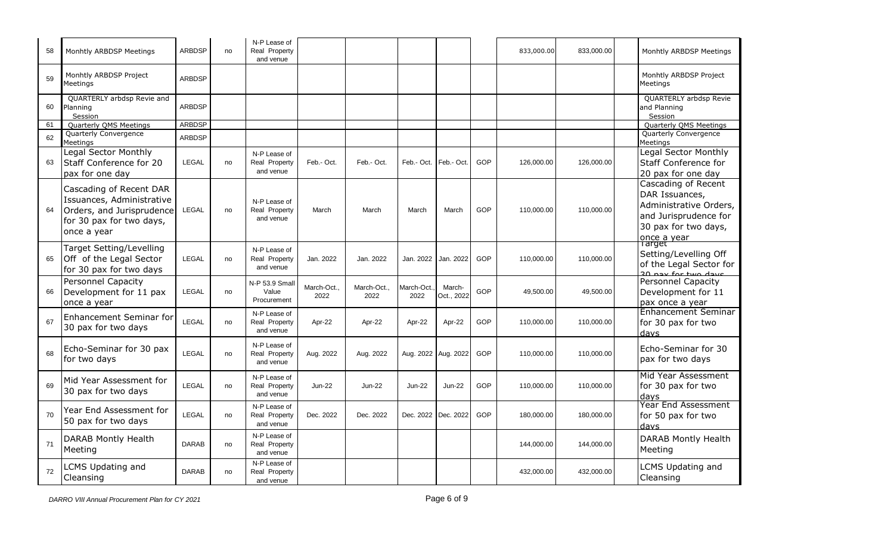| 58 | Monhtly ARBDSP Meetings                                                                                                      | <b>ARBDSP</b> | no | N-P Lease of<br>Real Property<br>and venue |                   |                     |                     |                      |     | 833,000.00 | 833,000.00 | Monhtly ARBDSP Meetings                                                                                                                   |
|----|------------------------------------------------------------------------------------------------------------------------------|---------------|----|--------------------------------------------|-------------------|---------------------|---------------------|----------------------|-----|------------|------------|-------------------------------------------------------------------------------------------------------------------------------------------|
| 59 | Monhtly ARBDSP Project<br>Meetinas                                                                                           | <b>ARBDSP</b> |    |                                            |                   |                     |                     |                      |     |            |            | Monhtly ARBDSP Project<br>Meetings                                                                                                        |
| 60 | QUARTERLY arbdsp Revie and<br>Planning<br>Session                                                                            | <b>ARBDSP</b> |    |                                            |                   |                     |                     |                      |     |            |            | <b>QUARTERLY arbdsp Revie</b><br>and Planning<br>Session                                                                                  |
| 61 | Quarterly QMS Meetings                                                                                                       | <b>ARBDSP</b> |    |                                            |                   |                     |                     |                      |     |            |            | Quarterly QMS Meetings                                                                                                                    |
| 62 | Quarterly Convergence<br>Meetings                                                                                            | <b>ARBDSP</b> |    |                                            |                   |                     |                     |                      |     |            |            | Quarterly Convergence<br>Meetings                                                                                                         |
| 63 | Legal Sector Monthly<br>Staff Conference for 20<br>pax for one day                                                           | <b>LEGAL</b>  | no | N-P Lease of<br>Real Property<br>and venue | Feb.- Oct.        | Feb.- Oct.          | Feb.- Oct.          | Feb.- Oct.           | GOP | 126,000.00 | 126,000.00 | Legal Sector Monthly<br><b>Staff Conference for</b><br>20 pax for one day                                                                 |
| 64 | Cascading of Recent DAR<br>Issuances, Administrative<br>Orders, and Jurisprudence<br>for 30 pax for two days,<br>once a year | LEGAL         | no | N-P Lease of<br>Real Property<br>and venue | March             | March               | March               | March                | GOP | 110,000.00 | 110,000.00 | Cascading of Recent<br>DAR Issuances,<br>Administrative Orders,<br>and Jurisprudence for<br>30 pax for two days,<br>once a year<br>Target |
| 65 | Target Setting/Levelling<br>Off of the Legal Sector<br>for 30 pax for two days                                               | <b>LEGAL</b>  | no | N-P Lease of<br>Real Property<br>and venue | Jan. 2022         | Jan. 2022           | Jan. 2022           | Jan. 2022            | GOP | 110.000.00 | 110.000.00 | Setting/Levelling Off<br>of the Legal Sector for<br>20 pay for two days                                                                   |
| 66 | <b>Personnel Capacity</b><br>Development for 11 pax<br>once a year                                                           | LEGAL         | no | N-P 53.9 Small<br>Value<br>Procurement     | March-Oct<br>2022 | March-Oct.,<br>2022 | March-Oct.<br>2022  | March-<br>Oct., 2022 | GOP | 49,500.00  | 49,500.00  | Personnel Capacity<br>Development for 11<br>pax once a year                                                                               |
| 67 | <b>Enhancement Seminar for</b><br>30 pax for two days                                                                        | <b>LEGAL</b>  | no | N-P Lease of<br>Real Property<br>and venue | Apr-22            | Apr-22              | Apr-22              | Apr-22               | GOP | 110,000.00 | 110,000.00 | <b>Enhancement Seminar</b><br>for 30 pax for two<br>davs                                                                                  |
| 68 | Echo-Seminar for 30 pax<br>for two days                                                                                      | <b>LEGAL</b>  | no | N-P Lease of<br>Real Property<br>and venue | Aug. 2022         | Aug. 2022           | Aug. 2022 Aug. 2022 |                      | GOP | 110,000.00 | 110,000.00 | Echo-Seminar for 30<br>pax for two days                                                                                                   |
| 69 | Mid Year Assessment for<br>30 pax for two days                                                                               | <b>LEGAL</b>  | no | N-P Lease of<br>Real Property<br>and venue | Jun-22            | <b>Jun-22</b>       | <b>Jun-22</b>       | <b>Jun-22</b>        | GOP | 110,000.00 | 110,000.00 | Mid Year Assessment<br>for 30 pax for two<br>days                                                                                         |
| 70 | Year End Assessment for<br>50 pax for two days                                                                               | LEGAL         | no | N-P Lease of<br>Real Property<br>and venue | Dec. 2022         | Dec. 2022           | Dec. 2022 Dec. 2022 |                      | GOP | 180,000.00 | 180,000.00 | Year End Assessment<br>for 50 pax for two<br>davs                                                                                         |
| 71 | <b>DARAB Montly Health</b><br>Meeting                                                                                        | <b>DARAB</b>  | no | N-P Lease of<br>Real Property<br>and venue |                   |                     |                     |                      |     | 144,000.00 | 144,000.00 | <b>DARAB Montly Health</b><br>Meeting                                                                                                     |
| 72 | <b>CMS Updating and</b><br>Cleansing                                                                                         | <b>DARAB</b>  | no | N-P Lease of<br>Real Property<br>and venue |                   |                     |                     |                      |     | 432,000.00 | 432,000.00 | <b>LCMS Updating and</b><br>Cleansing                                                                                                     |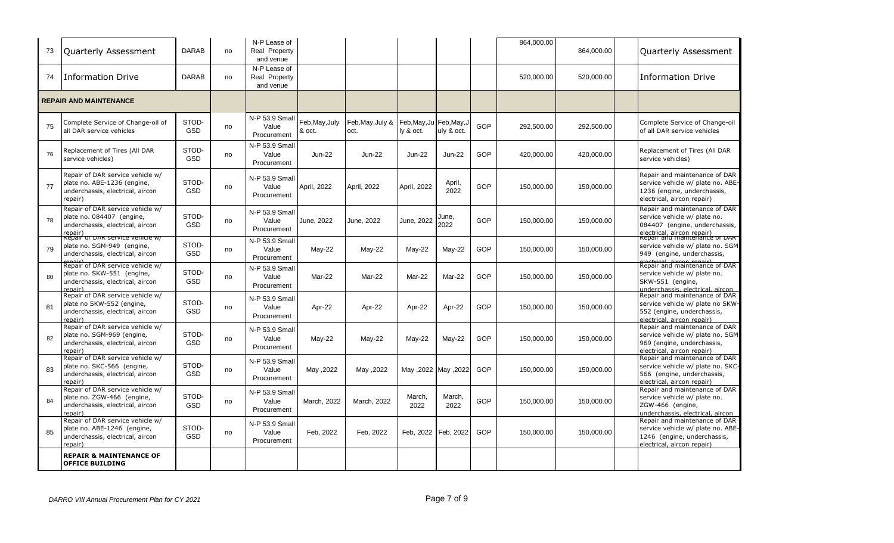| 73 | Quarterly Assessment                                                                                           | <b>DARAB</b>        | no | N-P Lease of<br>Real Property<br>and venue |                          |                          |                           |                           |            | 864,000.00 | 864,000.00 | Quarterly Assessment                                                                                                                               |
|----|----------------------------------------------------------------------------------------------------------------|---------------------|----|--------------------------------------------|--------------------------|--------------------------|---------------------------|---------------------------|------------|------------|------------|----------------------------------------------------------------------------------------------------------------------------------------------------|
| 74 | Information Drive                                                                                              | <b>DARAB</b>        | no | N-P Lease of<br>Real Property<br>and venue |                          |                          |                           |                           |            | 520,000.00 | 520,000.00 | <b>Information Drive</b>                                                                                                                           |
|    | <b>REPAIR AND MAINTENANCE</b>                                                                                  |                     |    |                                            |                          |                          |                           |                           |            |            |            |                                                                                                                                                    |
| 75 | Complete Service of Change-oil of<br>all DAR service vehicles                                                  | STOD-<br><b>GSD</b> | no | N-P 53.9 Small<br>Value<br>Procurement     | Feb, May, July<br>& oct. | Feb, May, July &<br>oct. | Feb, May, Ju<br>ly & oct. | Feb, May, J<br>uly & oct. | GOP        | 292,500.00 | 292,500.00 | Complete Service of Change-oil<br>of all DAR service vehicles                                                                                      |
| 76 | Replacement of Tires (All DAR<br>service vehicles)                                                             | STOD-<br><b>GSD</b> | no | N-P 53.9 Small<br>Value<br>Procurement     | Jun-22                   | <b>Jun-22</b>            | <b>Jun-22</b>             | $Jun-22$                  | GOP        | 420,000.00 | 420,000.00 | Replacement of Tires (All DAR<br>service vehicles)                                                                                                 |
| 77 | Repair of DAR service vehicle w/<br>plate no. ABE-1236 (engine,<br>underchassis, electrical, aircon<br>repair) | STOD-<br><b>GSD</b> | no | N-P 53.9 Small<br>Value<br>Procurement     | April, 2022              | April, 2022              | April, 2022               | April,<br>2022            | GOP        | 150,000.00 | 150,000.00 | Repair and maintenance of DAR<br>service vehicle w/ plate no. ABE-<br>1236 (engine, underchassis,<br>electrical, aircon repair)                    |
| 78 | Repair of DAR service vehicle w/<br>plate no. 084407 (engine,<br>underchassis, electrical, aircon<br>repair)   | STOD-<br><b>GSD</b> | no | N-P 53.9 Small<br>Value<br>Procurement     | June, 2022               | June, 2022               | June, 2022                | June,<br>2022             | GOP        | 150,000.00 | 150,000.00 | Repair and maintenance of DAR<br>service vehicle w/ plate no.<br>084407 (engine, underchassis,<br>electrical, aircon repair)                       |
| 79 | kepair of DAR service venicie w/<br>plate no. SGM-949 (engine,<br>underchassis, electrical, aircon             | STOD-<br><b>GSD</b> | no | N-P 53.9 Small<br>Value<br>Procurement     | $May-22$                 | $May-22$                 | $May-22$                  | $May-22$                  | <b>GOP</b> | 150,000.00 | 150,000.00 | Repair and maintenance or DAR<br>service vehicle w/ plate no. SGM<br>949 (engine, underchassis,                                                    |
| 80 | Repair of DAR service vehicle w/<br>plate no. SKW-551 (engine,<br>underchassis, electrical, aircon<br>renair)  | STOD-<br><b>GSD</b> | no | N-P 53.9 Small<br>Value<br>Procurement     | Mar-22                   | Mar-22                   | Mar-22                    | Mar-22                    | GOP        | 150,000.00 | 150,000.00 | electrical aircon repair)<br>Repair and maintenance of DAR<br>service vehicle w/ plate no.<br>SKW-551 (engine,<br>underchassis, electrical, aircon |
| 81 | Repair of DAR service vehicle w/<br>plate no SKW-552 (engine,<br>underchassis, electrical, aircon<br>repair)   | STOD-<br><b>GSD</b> | no | N-P 53.9 Small<br>Value<br>Procurement     | Apr-22                   | Apr-22                   | Apr-22                    | Apr-22                    | GOP        | 150,000.00 | 150,000.00 | Repair and maintenance of DAR<br>service vehicle w/ plate no SKW-<br>552 (engine, underchassis,<br>electrical, aircon repair)                      |
| 82 | Repair of DAR service vehicle w/<br>plate no. SGM-969 (engine,<br>underchassis, electrical, aircon<br>repair)  | STOD-<br><b>GSD</b> | no | N-P 53.9 Small<br>Value<br>Procurement     | $May-22$                 | $May-22$                 | May-22                    | $May-22$                  | GOP        | 150,000.00 | 150,000.00 | Repair and maintenance of DAR<br>service vehicle w/ plate no. SGM<br>969 (engine, underchassis,<br>electrical, aircon repair)                      |
| 83 | Repair of DAR service vehicle w/<br>plate no. SKC-566 (engine,<br>underchassis, electrical, aircon<br>repair)  | STOD-<br><b>GSD</b> | no | N-P 53.9 Small<br>Value<br>Procurement     | May ,2022                | May ,2022                |                           | Alay ,2022 May ,2022      | GOP        | 150,000.00 | 150,000.00 | Repair and maintenance of DAR<br>service vehicle w/ plate no. SKC-<br>566 (engine, underchassis,<br>electrical, aircon repair)                     |
| 84 | Repair of DAR service vehicle w/<br>plate no. ZGW-466 (engine,<br>underchassis, electrical, aircon<br>repair)  | STOD-<br><b>GSD</b> | no | N-P 53.9 Small<br>Value<br>Procurement     | March, 2022              | March, 2022              | March,<br>2022            | March,<br>2022            | GOP        | 150,000.00 | 150,000.00 | Repair and maintenance of DAR<br>service vehicle w/ plate no.<br>ZGW-466 (engine,<br>underchassis, electrical, aircon                              |
| 85 | Repair of DAR service vehicle w/<br>plate no. ABE-1246 (engine,<br>underchassis, electrical, aircon<br>epair)  | STOD-<br><b>GSD</b> | no | N-P 53.9 Small<br>Value<br>Procurement     | Feb, 2022                | Feb, 2022                | Feb, 2022                 | Feb, 2022                 | GOP        | 150,000.00 | 150,000.00 | Repair and maintenance of DAR<br>service vehicle w/ plate no. ABE-<br>1246 (engine, underchassis,<br>electrical, aircon repair)                    |
|    | <b>REPAIR &amp; MAINTENANCE OF</b><br><b>OFFICE BUILDING</b>                                                   |                     |    |                                            |                          |                          |                           |                           |            |            |            |                                                                                                                                                    |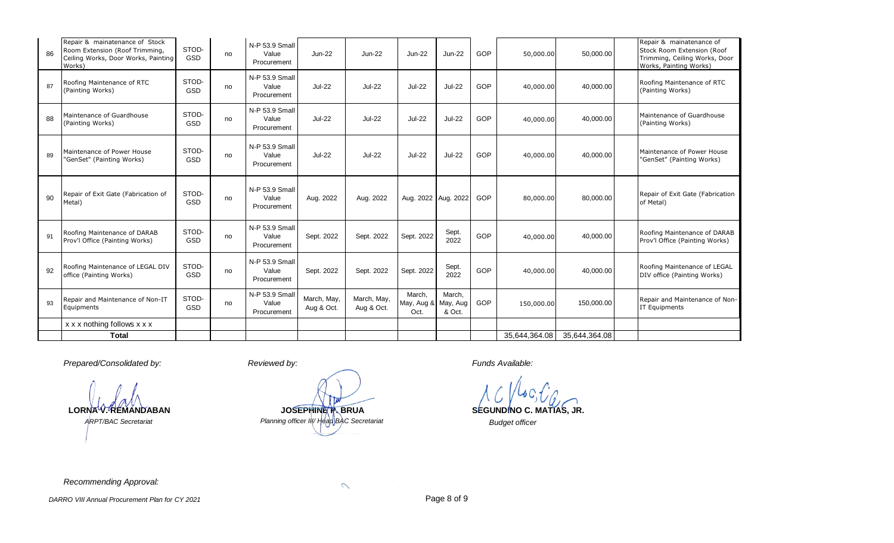| 86 | Repair & mainatenance of Stock<br>Room Extension (Roof Trimming,<br>Ceiling Works, Door Works, Painting<br>Works) | STOD-<br><b>GSD</b> | no | N-P 53.9 Small<br>Value<br>Procurement | <b>Jun-22</b>             | $Jun-22$                  | <b>Jun-22</b>                | <b>Jun-22</b>                | GOP | 50,000.00     | 50,000.00     | Repair & mainatenance of<br>Stock Room Extension (Roof<br>Trimming, Ceiling Works, Door<br>Works, Painting Works) |
|----|-------------------------------------------------------------------------------------------------------------------|---------------------|----|----------------------------------------|---------------------------|---------------------------|------------------------------|------------------------------|-----|---------------|---------------|-------------------------------------------------------------------------------------------------------------------|
| 87 | Roofing Maintenance of RTC<br>(Painting Works)                                                                    | STOD-<br><b>GSD</b> | no | N-P 53.9 Small<br>Value<br>Procurement | <b>Jul-22</b>             | <b>Jul-22</b>             | <b>Jul-22</b>                | <b>Jul-22</b>                | GOP | 40,000.00     | 40,000.00     | Roofing Maintenance of RTC<br>(Painting Works)                                                                    |
| 88 | Maintenance of Guardhouse<br>(Painting Works)                                                                     | STOD-<br>GSD        | no | N-P 53.9 Small<br>Value<br>Procurement | <b>Jul-22</b>             | <b>Jul-22</b>             | <b>Jul-22</b>                | <b>Jul-22</b>                | GOP | 40,000.00     | 40,000.00     | Maintenance of Guardhouse<br>(Painting Works)                                                                     |
| 89 | Maintenance of Power House<br>"GenSet" (Painting Works)                                                           | STOD-<br>GSD        | no | N-P 53.9 Small<br>Value<br>Procurement | <b>Jul-22</b>             | <b>Jul-22</b>             | <b>Jul-22</b>                | <b>Jul-22</b>                | GOP | 40,000.00     | 40,000.00     | Maintenance of Power House<br>"GenSet" (Painting Works)                                                           |
| 90 | Repair of Exit Gate (Fabrication of<br>Metal)                                                                     | STOD-<br><b>GSD</b> | no | N-P 53.9 Small<br>Value<br>Procurement | Aug. 2022                 | Aug. 2022                 |                              | Aug. 2022 Aug. 2022          | GOP | 80,000.00     | 80.000.00     | Repair of Exit Gate (Fabrication<br>of Metal)                                                                     |
| 91 | Roofing Maintenance of DARAB<br>Prov'l Office (Painting Works)                                                    | STOD-<br>GSD        | no | N-P 53.9 Small<br>Value<br>Procurement | Sept. 2022                | Sept. 2022                | Sept. 2022                   | Sept.<br>2022                | GOP | 40,000.00     | 40,000.00     | Roofing Maintenance of DARAB<br>Prov'l Office (Painting Works)                                                    |
| 92 | Roofing Maintenance of LEGAL DIV<br>office (Painting Works)                                                       | STOD-<br>GSD        | no | N-P 53.9 Small<br>Value<br>Procurement | Sept. 2022                | Sept. 2022                | Sept. 2022                   | Sept.<br>2022                | GOP | 40,000.00     | 40,000.00     | Roofing Maintenance of LEGAL<br>DIV office (Painting Works)                                                       |
| 93 | Repair and Maintenance of Non-IT<br>Equipments                                                                    | STOD-<br>GSD        | no | N-P 53.9 Small<br>Value<br>Procurement | March, May,<br>Aug & Oct. | March, May,<br>Aug & Oct. | March,<br>May, Aug &<br>Oct. | March,<br>May, Aug<br>& Oct. | GOP | 150,000.00    | 150,000.00    | Repair and Maintenance of Non-<br><b>IT Equipments</b>                                                            |
|    | $x \times x$ nothing follows $x \times x$                                                                         |                     |    |                                        |                           |                           |                              |                              |     |               |               |                                                                                                                   |
|    | <b>Total</b>                                                                                                      |                     |    |                                        |                           |                           |                              |                              |     | 35,644,364.08 | 35,644,364.08 |                                                                                                                   |

*Prepared/Consolidated by: Reviewed by: Funds Available:*

*ARPT/BAC Secretariat*

**LORNA V. REMANDABAN SEGUNDINO C. MATIAS, JR.** *Planning officer III/ Head BAC Secretariat Budget officer* **JOSEPHINE P. BRUA**

*Recommending Approval:*

 $\mathcal{L}$ 

*DARRO VIII Annual Procurement Plan for CY 2021* **Page 8 of 9** Page 8 of 9